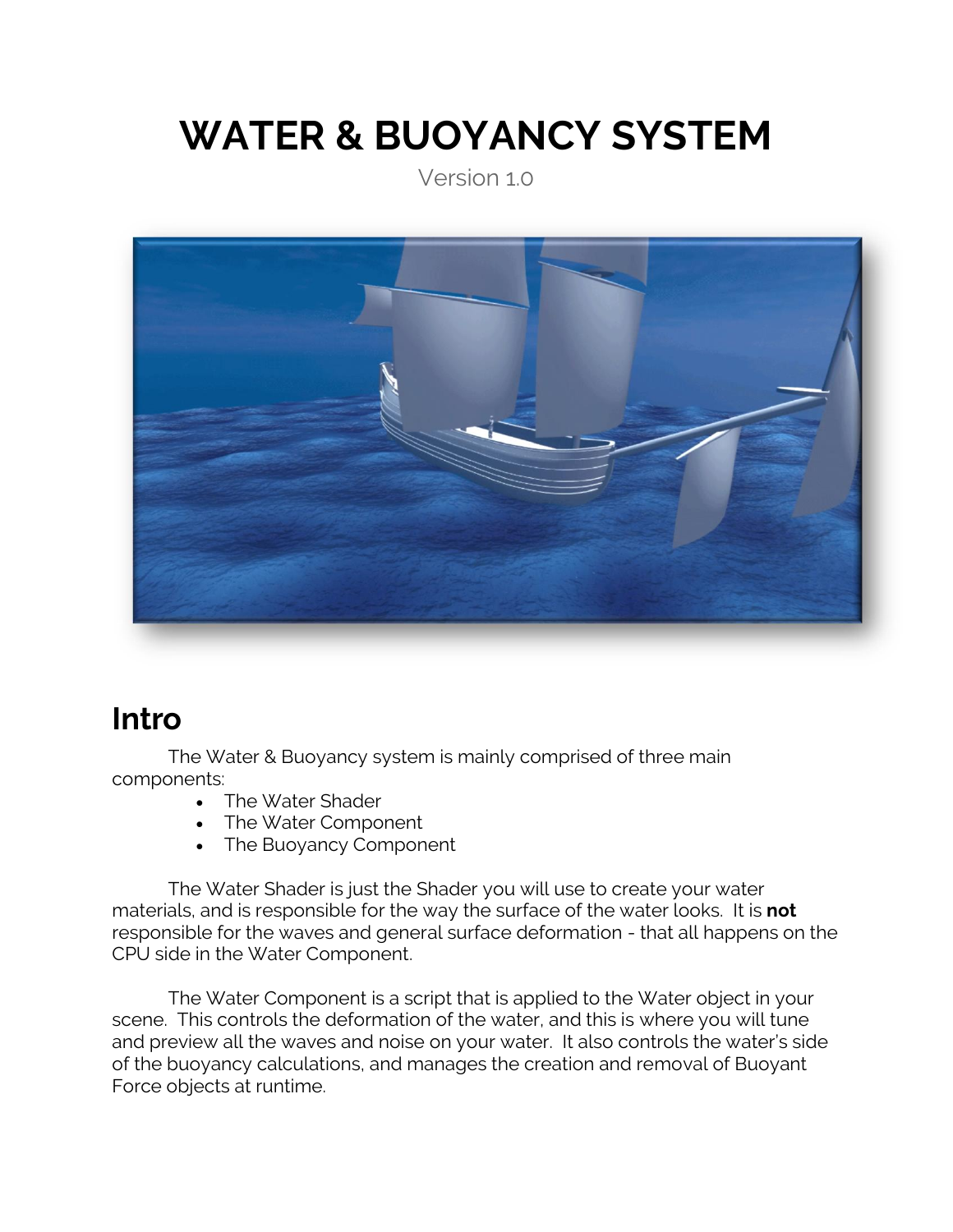# **WATER & BUOYANCY SYSTEM**

Version 1.0



## **Intro**

The Water & Buoyancy system is mainly comprised of three main components:

- The Water Shader
- The Water Component
- The Buoyancy Component

The Water Shader is just the Shader you will use to create your water materials, and is responsible for the way the surface of the water looks. It is **not** responsible for the waves and general surface deformation - that all happens on the CPU side in the Water Component.

The Water Component is a script that is applied to the Water object in your scene. This controls the deformation of the water, and this is where you will tune and preview all the waves and noise on your water. It also controls the water's side of the buoyancy calculations, and manages the creation and removal of Buoyant Force objects at runtime.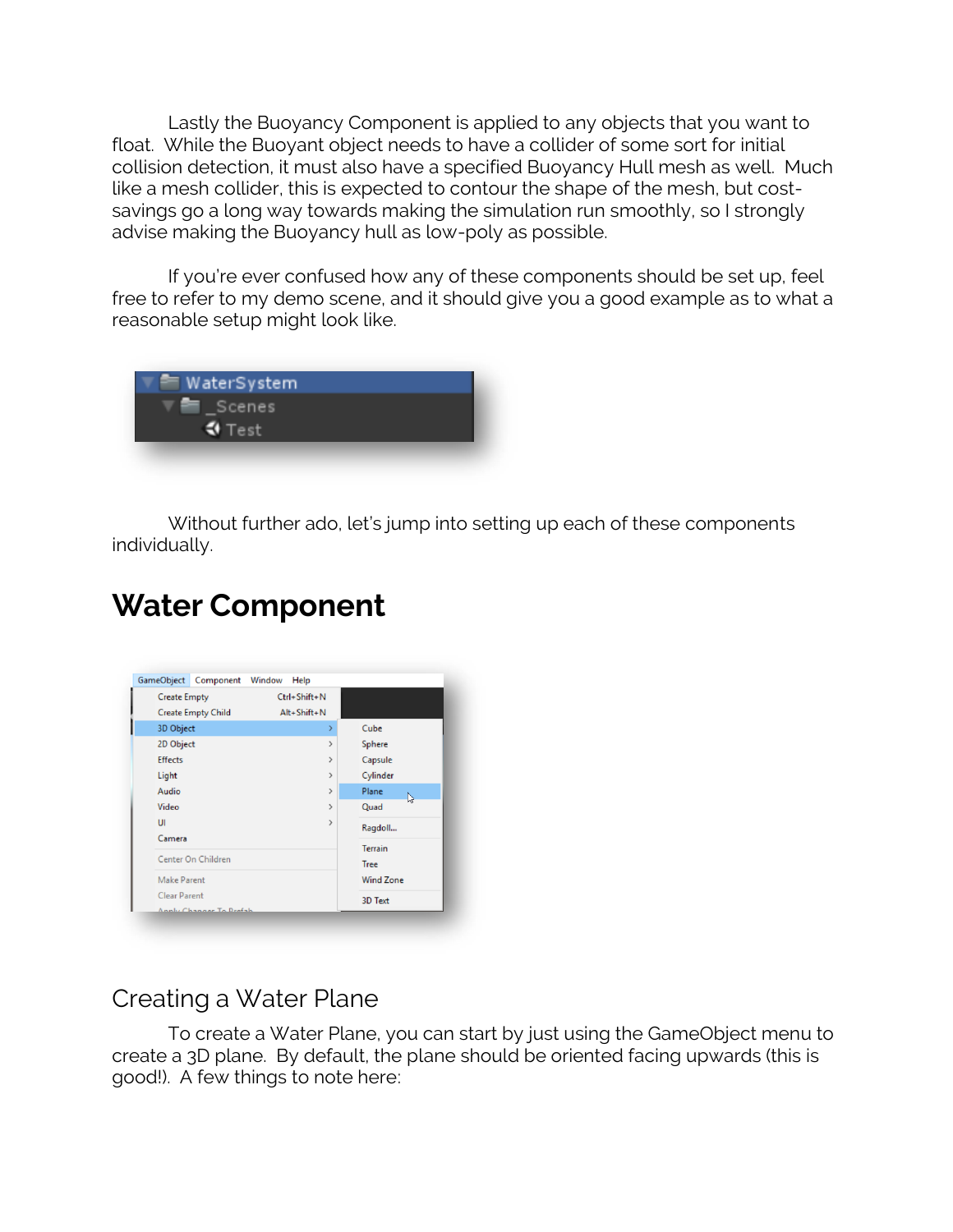Lastly the Buoyancy Component is applied to any objects that you want to float. While the Buoyant object needs to have a collider of some sort for initial collision detection, it must also have a specified Buoyancy Hull mesh as well. Much like a mesh collider, this is expected to contour the shape of the mesh, but costsavings go a long way towards making the simulation run smoothly, so I strongly advise making the Buoyancy hull as low-poly as possible.

If you're ever confused how any of these components should be set up, feel free to refer to my demo scene, and it should give you a good example as to what a reasonable setup might look like.

| $=$ WaterSystem           |  |
|---------------------------|--|
| <b>Scenes</b>             |  |
| $\overline{\bullet}$ Test |  |
|                           |  |

Without further ado, let's jump into setting up each of these components individually.

## **Water Component**

| <b>Create Empty</b>       | Ctrl+Shift+N      |                               |
|---------------------------|-------------------|-------------------------------|
| <b>Create Empty Child</b> | $Alt + Shift + N$ |                               |
| 3D Object                 | ⋟                 | Cube                          |
| 2D Object                 | $\mathcal{E}$     | Sphere                        |
| <b>Effects</b>            | $\mathcal{P}$     | Capsule                       |
| Light                     | ゝ                 | Cylinder                      |
| Audio                     | >                 | Plane<br>L,                   |
| Video                     | $\mathcal{P}$     | Quad                          |
| UI                        | >                 | Ragdoll                       |
| Camera                    |                   |                               |
| Center On Children        |                   | <b>Terrain</b><br><b>Tree</b> |
| <b>Make Parent</b>        |                   | <b>Wind Zone</b>              |
| <b>Clear Parent</b>       |                   | <b>3D Text</b>                |
| Annhe Changes To Drefsh   |                   |                               |

## Creating a Water Plane

To create a Water Plane, you can start by just using the GameObject menu to create a 3D plane. By default, the plane should be oriented facing upwards (this is good!). A few things to note here: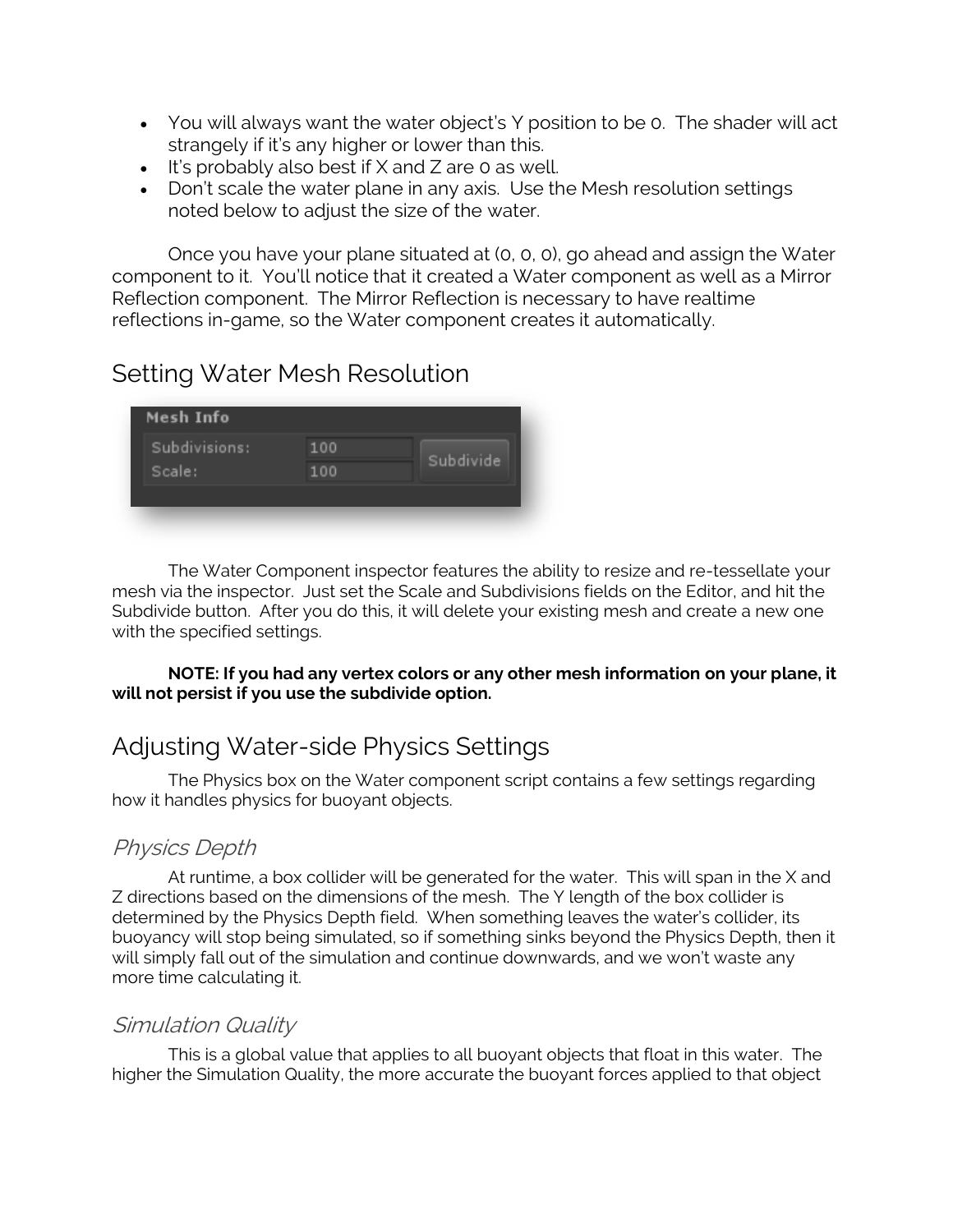- You will always want the water object's Y position to be 0. The shader will act strangely if it's any higher or lower than this.
- It's probably also best if X and Z are 0 as well.
- Don't scale the water plane in any axis. Use the Mesh resolution settings noted below to adjust the size of the water.

Once you have your plane situated at (0, 0, 0), go ahead and assign the Water component to it. You'll notice that it created a Water component as well as a Mirror Reflection component. The Mirror Reflection is necessary to have realtime reflections in-game, so the Water component creates it automatically.

## Setting Water Mesh Resolution

| Mesh Info     |     |           |
|---------------|-----|-----------|
| Subdivisions: | 100 |           |
| Scale:        | 100 | Subdivide |
|               |     |           |
|               |     |           |

The Water Component inspector features the ability to resize and re-tessellate your mesh via the inspector. Just set the Scale and Subdivisions fields on the Editor, and hit the Subdivide button. After you do this, it will delete your existing mesh and create a new one with the specified settings.

**NOTE: If you had any vertex colors or any other mesh information on your plane, it will not persist if you use the subdivide option.**

## Adjusting Water-side Physics Settings

The Physics box on the Water component script contains a few settings regarding how it handles physics for buoyant objects.

## Physics Depth

At runtime, a box collider will be generated for the water. This will span in the X and Z directions based on the dimensions of the mesh. The Y length of the box collider is determined by the Physics Depth field. When something leaves the water's collider, its buoyancy will stop being simulated, so if something sinks beyond the Physics Depth, then it will simply fall out of the simulation and continue downwards, and we won't waste any more time calculating it.

#### Simulation Quality

This is a global value that applies to all buoyant objects that float in this water. The higher the Simulation Quality, the more accurate the buoyant forces applied to that object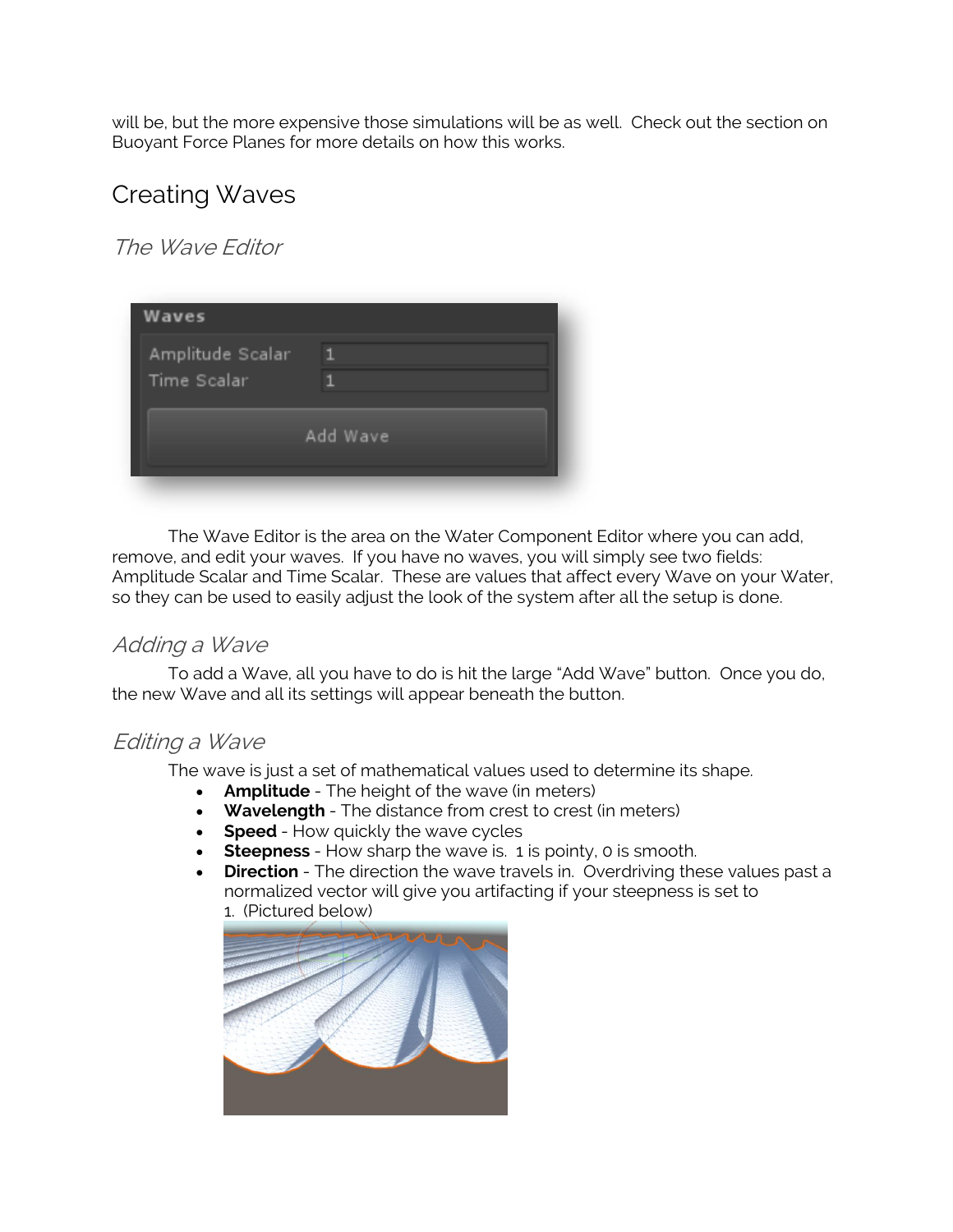will be, but the more expensive those simulations will be as well. Check out the section on Buoyant Force Planes for more details on how this works.

## Creating Waves

The Wave Editor

| <b>Waves</b>                    |          |
|---------------------------------|----------|
| Amplitude Scalar<br>Time Scalar |          |
|                                 | Add Wave |

The Wave Editor is the area on the Water Component Editor where you can add, remove, and edit your waves. If you have no waves, you will simply see two fields: Amplitude Scalar and Time Scalar. These are values that affect every Wave on your Water, so they can be used to easily adjust the look of the system after all the setup is done.

## Adding a Wave

To add a Wave, all you have to do is hit the large "Add Wave" button. Once you do, the new Wave and all its settings will appear beneath the button.

## Editing a Wave

The wave is just a set of mathematical values used to determine its shape.

- **Amplitude**  The height of the wave (in meters)
- **Wavelength**  The distance from crest to crest (in meters)
- **Speed** How quickly the wave cycles
- **Steepness**  How sharp the wave is. 1 is pointy, 0 is smooth.
- **Direction** The direction the wave travels in. Overdriving these values past a normalized vector will give you artifacting if your steepness is set to 1. (Pictured below)

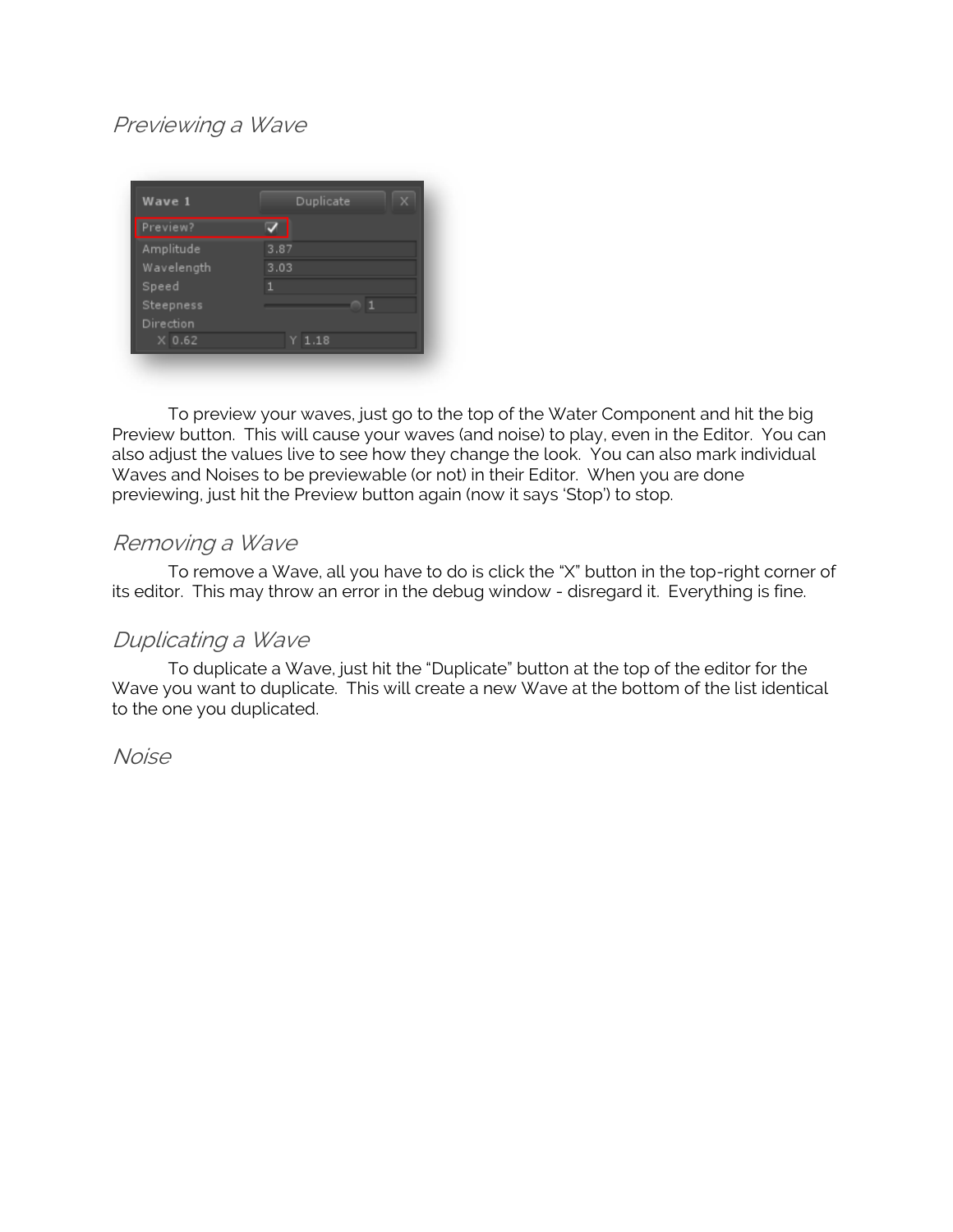## Previewing a Wave

| Wave 1     | Duplicate |
|------------|-----------|
| Preview?   |           |
| Amplitude  | 3.87      |
| Wavelength | 3.03      |
| Speed      |           |
| Steepness  | п         |
| Direction  |           |
| $X$ 0.62   | $Y$ 1.18  |

To preview your waves, just go to the top of the Water Component and hit the big Preview button. This will cause your waves (and noise) to play, even in the Editor. You can also adjust the values live to see how they change the look. You can also mark individual Waves and Noises to be previewable (or not) in their Editor. When you are done previewing, just hit the Preview button again (now it says 'Stop') to stop.

### Removing a Wave

To remove a Wave, all you have to do is click the "X" button in the top-right corner of its editor. This may throw an error in the debug window - disregard it. Everything is fine.

#### Duplicating a Wave

To duplicate a Wave, just hit the "Duplicate" button at the top of the editor for the Wave you want to duplicate. This will create a new Wave at the bottom of the list identical to the one you duplicated.

Noise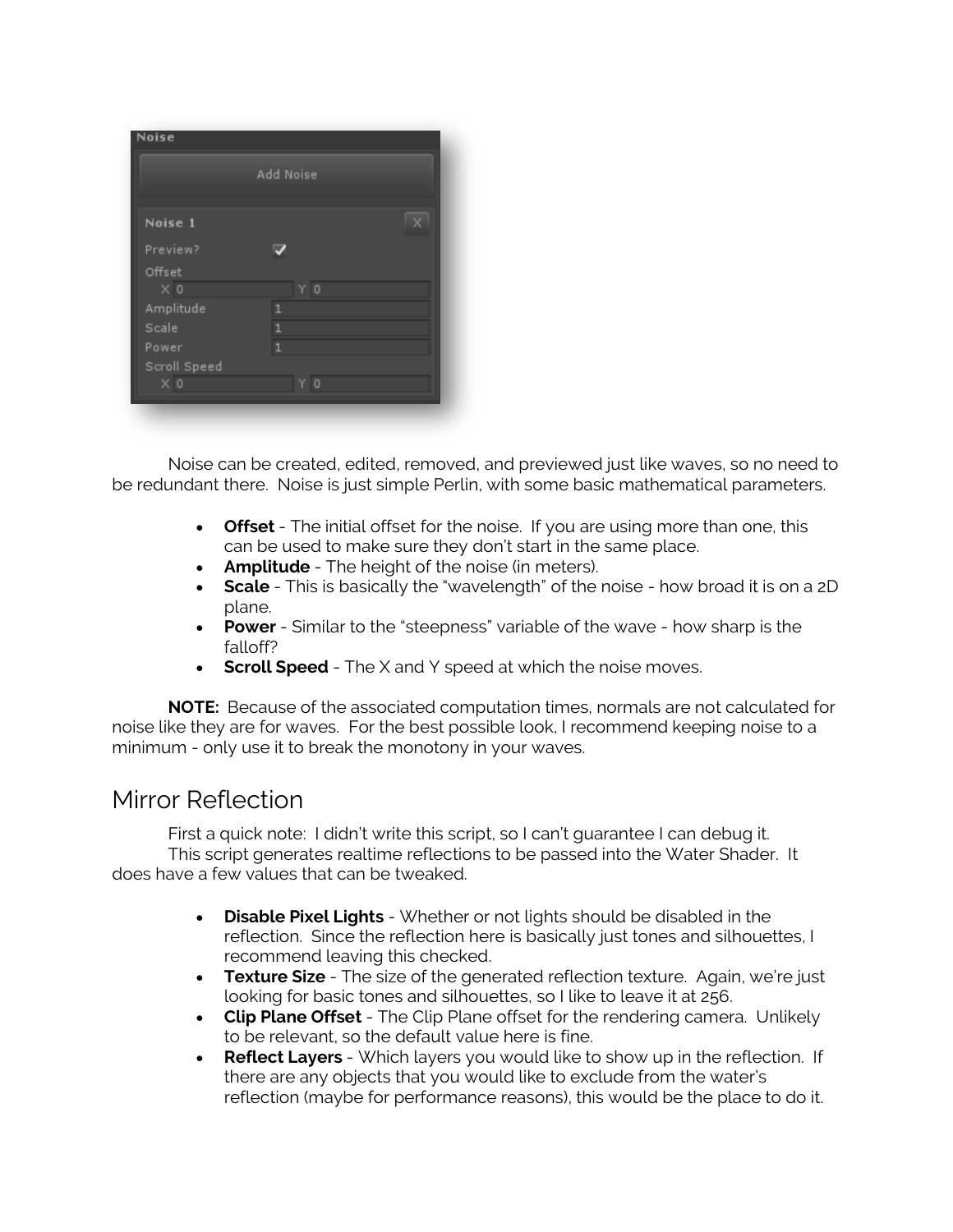|                | Add Noise      |   |
|----------------|----------------|---|
| Noise 1        |                | x |
| Preview?       |                |   |
| Offset         |                |   |
| $\times 0$     | Y <sub>0</sub> |   |
| Amplitude      |                |   |
| Scale          | ٦              |   |
| Power          | 1              |   |
| Scroll Speed   |                |   |
| X <sub>0</sub> | Ω              |   |

Noise can be created, edited, removed, and previewed just like waves, so no need to be redundant there. Noise is just simple Perlin, with some basic mathematical parameters.

- **Offset**  The initial offset for the noise. If you are using more than one, this can be used to make sure they don't start in the same place.
- **Amplitude**  The height of the noise (in meters).
- **Scale**  This is basically the "wavelength" of the noise how broad it is on a 2D plane.
- **Power**  Similar to the "steepness" variable of the wave how sharp is the falloff?
- **Scroll Speed** The X and Y speed at which the noise moves.

**NOTE:** Because of the associated computation times, normals are not calculated for noise like they are for waves. For the best possible look, I recommend keeping noise to a minimum - only use it to break the monotony in your waves.

## Mirror Reflection

First a quick note: I didn't write this script, so I can't guarantee I can debug it. This script generates realtime reflections to be passed into the Water Shader. It does have a few values that can be tweaked.

- **Disable Pixel Lights**  Whether or not lights should be disabled in the reflection. Since the reflection here is basically just tones and silhouettes, I recommend leaving this checked.
- **Texture Size** The size of the generated reflection texture. Again, we're just looking for basic tones and silhouettes, so I like to leave it at 256.
- **Clip Plane Offset**  The Clip Plane offset for the rendering camera. Unlikely to be relevant, so the default value here is fine.
- **Reflect Layers**  Which layers you would like to show up in the reflection. If there are any objects that you would like to exclude from the water's reflection (maybe for performance reasons), this would be the place to do it.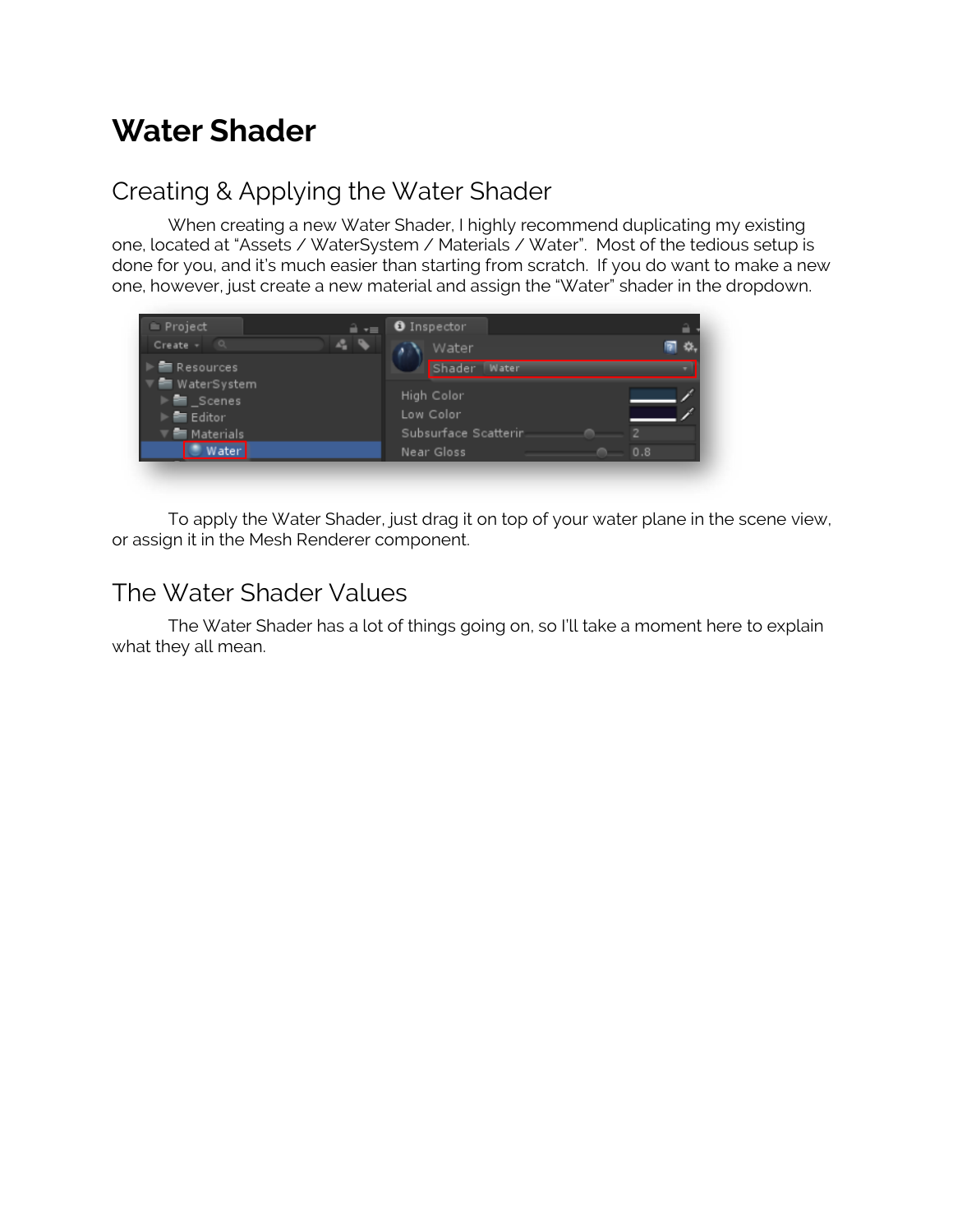## **Water Shader**

## Creating & Applying the Water Shader

When creating a new Water Shader, I highly recommend duplicating my existing one, located at "Assets / WaterSystem / Materials / Water". Most of the tedious setup is done for you, and it's much easier than starting from scratch. If you do want to make a new one, however, just create a new material and assign the "Water" shader in the dropdown.



To apply the Water Shader, just drag it on top of your water plane in the scene view, or assign it in the Mesh Renderer component.

## The Water Shader Values

The Water Shader has a lot of things going on, so I'll take a moment here to explain what they all mean.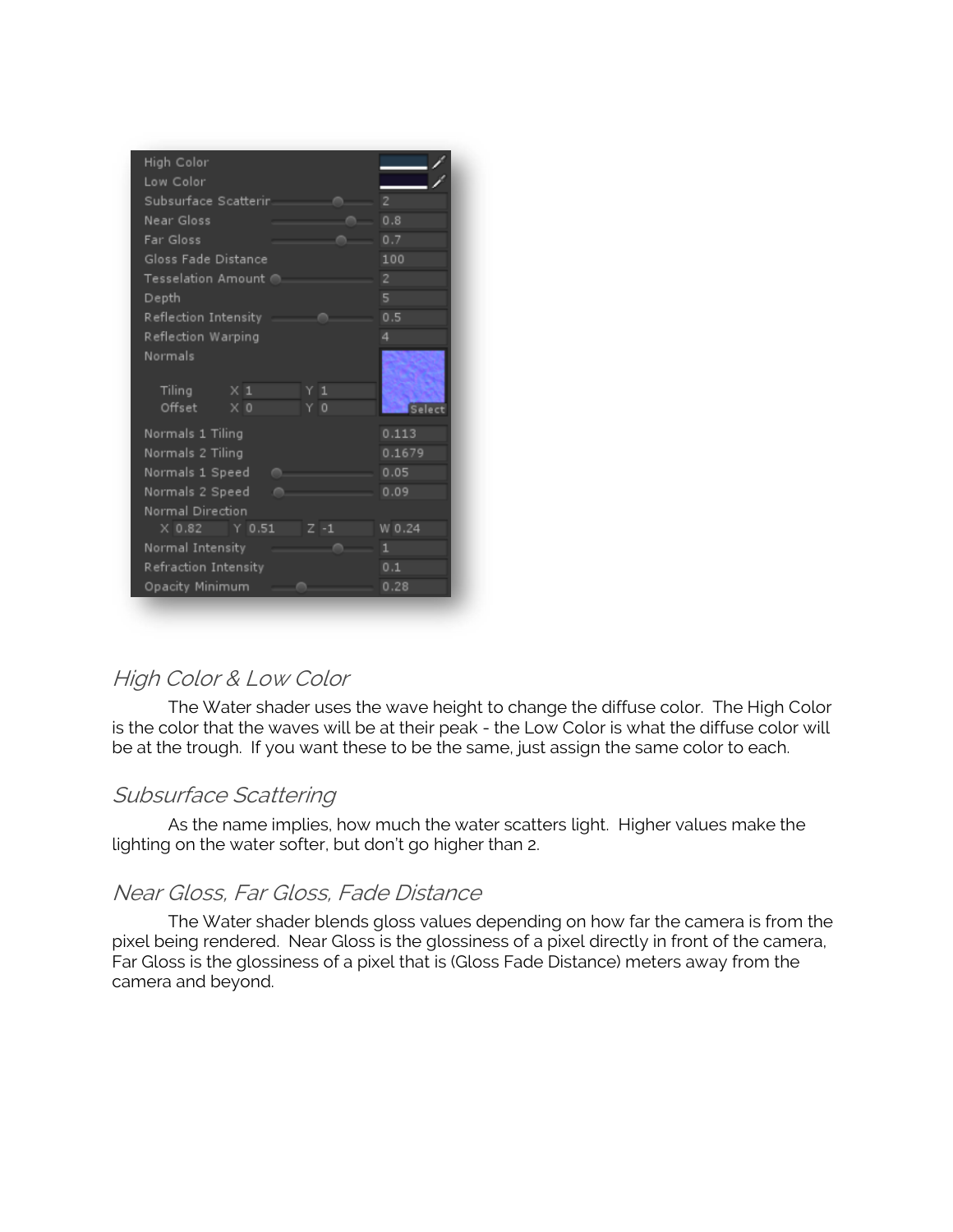| High Color                      |                |
|---------------------------------|----------------|
| Low Color                       |                |
| Subsurface Scatterir            | $\overline{2}$ |
| Near Gloss                      | 0.8            |
| Far Gloss                       | 0.7            |
| Gloss Fade Distance             | 100            |
| Tesselation Amount @.           | $\overline{c}$ |
| Depth                           | 5              |
| Reflection Intensity            | 0.5            |
| Reflection Warping              | 4              |
| Normals                         |                |
|                                 |                |
| Tiling<br>$\times 1$<br>1<br>Y. |                |
| Offset<br>$\times 0$<br>Y O     | Select         |
| Normals 1 Tiling                | 0.113          |
| Normals 2 Tiling                | 0.1679         |
| Normals 1 Speed                 | 0.05           |
| Normals 2 Speed                 | 0.09           |
| Normal Direction                |                |
| $Z - 1$<br>$X$ 0.82 Y 0.51      | W 0.24         |
| Normal Intensity                | 1              |
|                                 | 0.1            |
| Refraction Intensity            |                |
| Opacity Minimum                 | 0.28           |

## High Color & Low Color

The Water shader uses the wave height to change the diffuse color. The High Color is the color that the waves will be at their peak - the Low Color is what the diffuse color will be at the trough. If you want these to be the same, just assign the same color to each.

## Subsurface Scattering

As the name implies, how much the water scatters light. Higher values make the lighting on the water softer, but don't go higher than 2.

## Near Gloss, Far Gloss, Fade Distance

The Water shader blends gloss values depending on how far the camera is from the pixel being rendered. Near Gloss is the glossiness of a pixel directly in front of the camera, Far Gloss is the glossiness of a pixel that is (Gloss Fade Distance) meters away from the camera and beyond.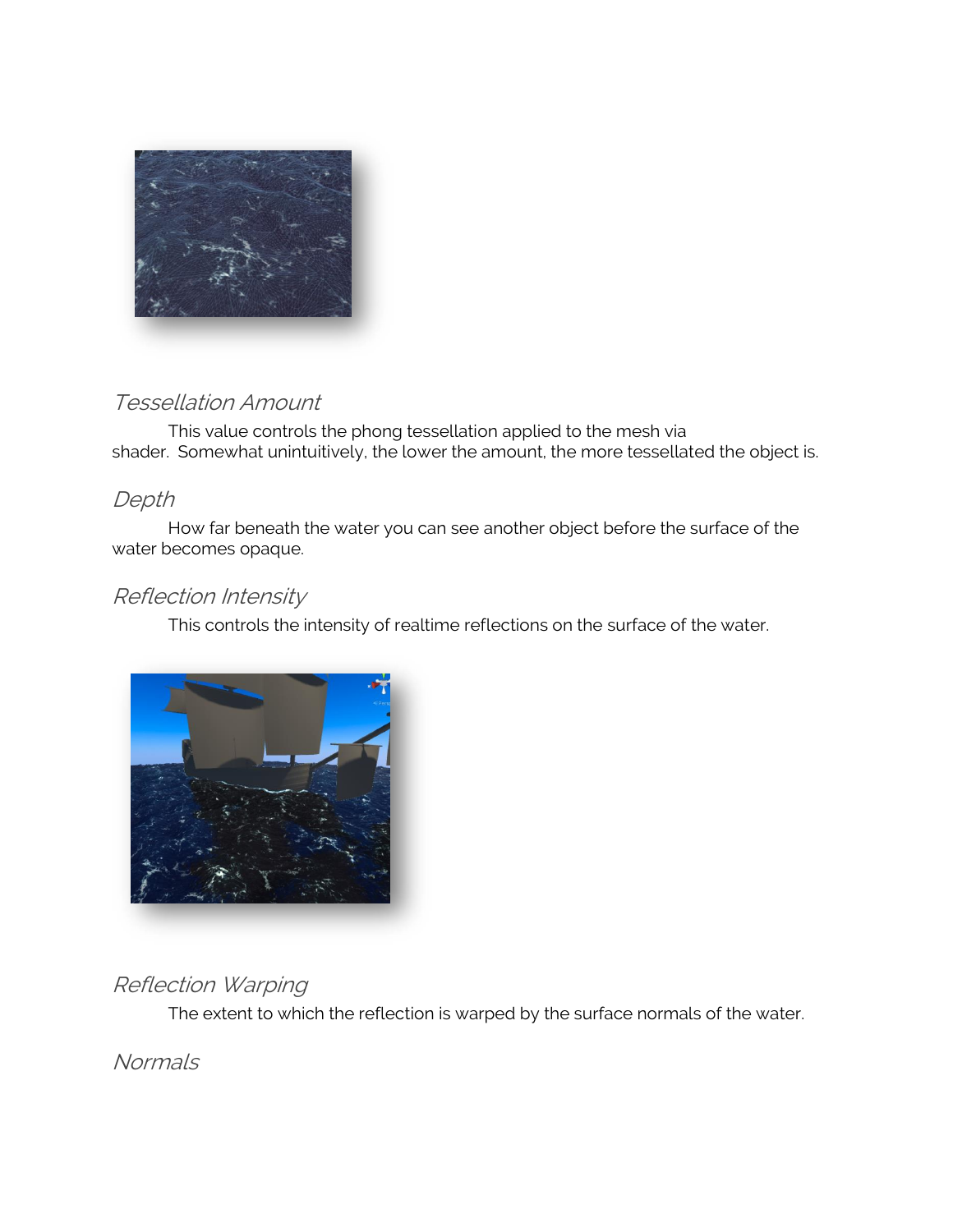

## Tessellation Amount

This value controls the phong tessellation applied to the mesh via shader. Somewhat unintuitively, the lower the amount, the more tessellated the object is.

## Depth

How far beneath the water you can see another object before the surface of the water becomes opaque.

## Reflection Intensity

This controls the intensity of realtime reflections on the surface of the water.



## Reflection Warping

The extent to which the reflection is warped by the surface normals of the water.

**Normals**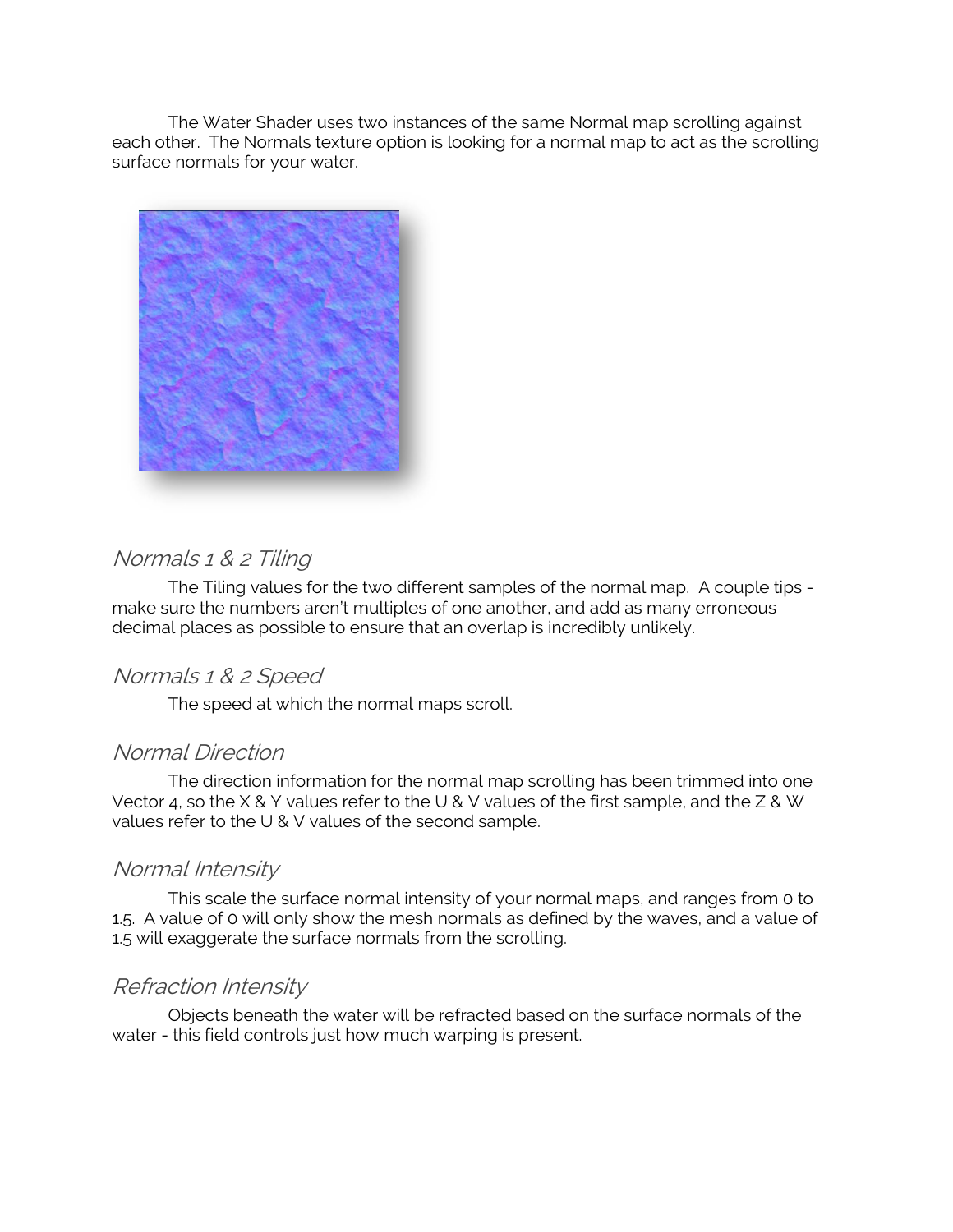The Water Shader uses two instances of the same Normal map scrolling against each other. The Normals texture option is looking for a normal map to act as the scrolling surface normals for your water.



## Normals 1 & 2 Tiling

The Tiling values for the two different samples of the normal map. A couple tips make sure the numbers aren't multiples of one another, and add as many erroneous decimal places as possible to ensure that an overlap is incredibly unlikely.

#### Normals 1 & 2 Speed

The speed at which the normal maps scroll.

#### Normal Direction

The direction information for the normal map scrolling has been trimmed into one Vector 4, so the X & Y values refer to the U & V values of the first sample, and the Z & W values refer to the U & V values of the second sample.

#### Normal Intensity

This scale the surface normal intensity of your normal maps, and ranges from 0 to 1.5. A value of 0 will only show the mesh normals as defined by the waves, and a value of 1.5 will exaggerate the surface normals from the scrolling.

#### Refraction Intensity

Objects beneath the water will be refracted based on the surface normals of the water - this field controls just how much warping is present.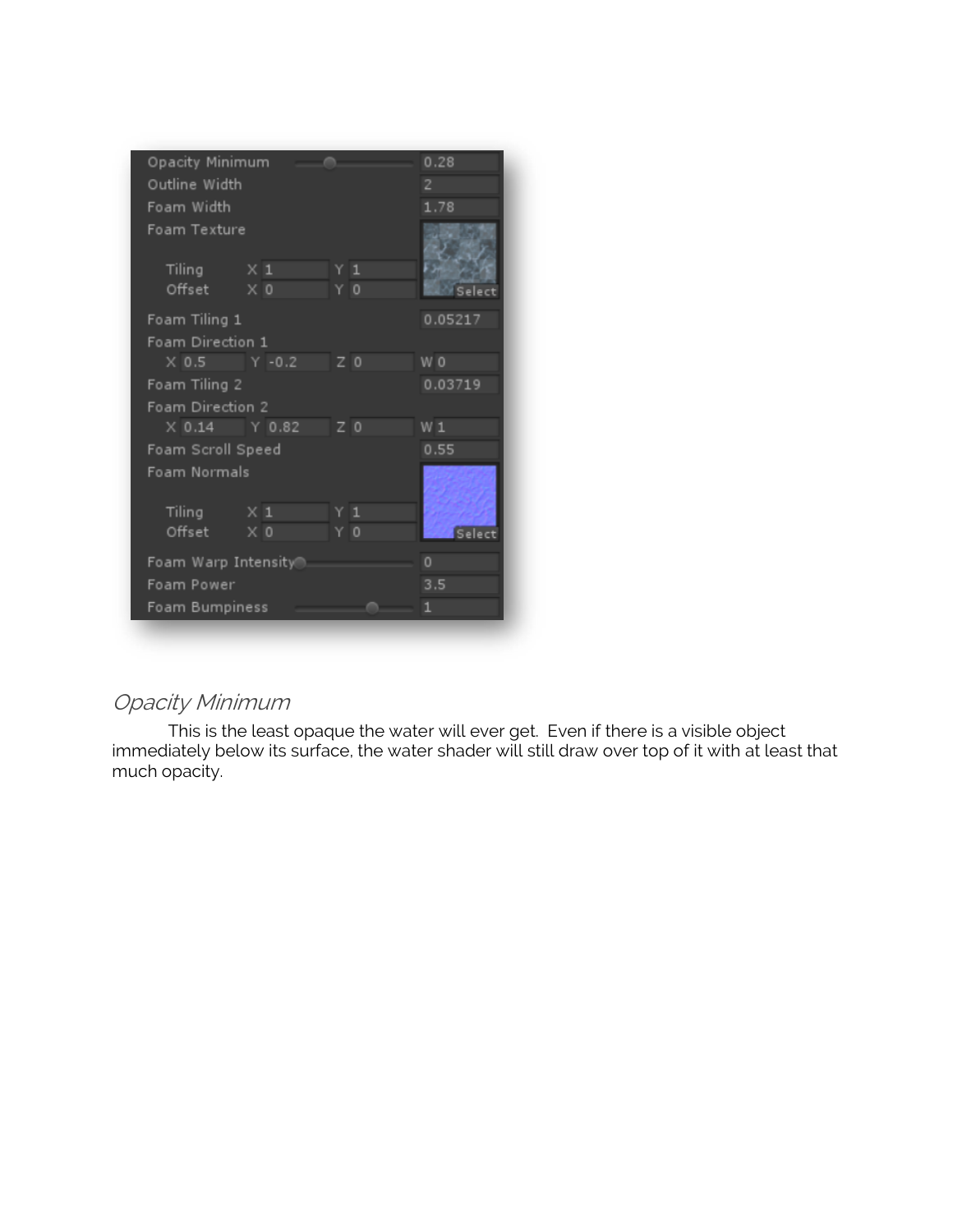

## Opacity Minimum

This is the least opaque the water will ever get. Even if there is a visible object immediately below its surface, the water shader will still draw over top of it with at least that much opacity.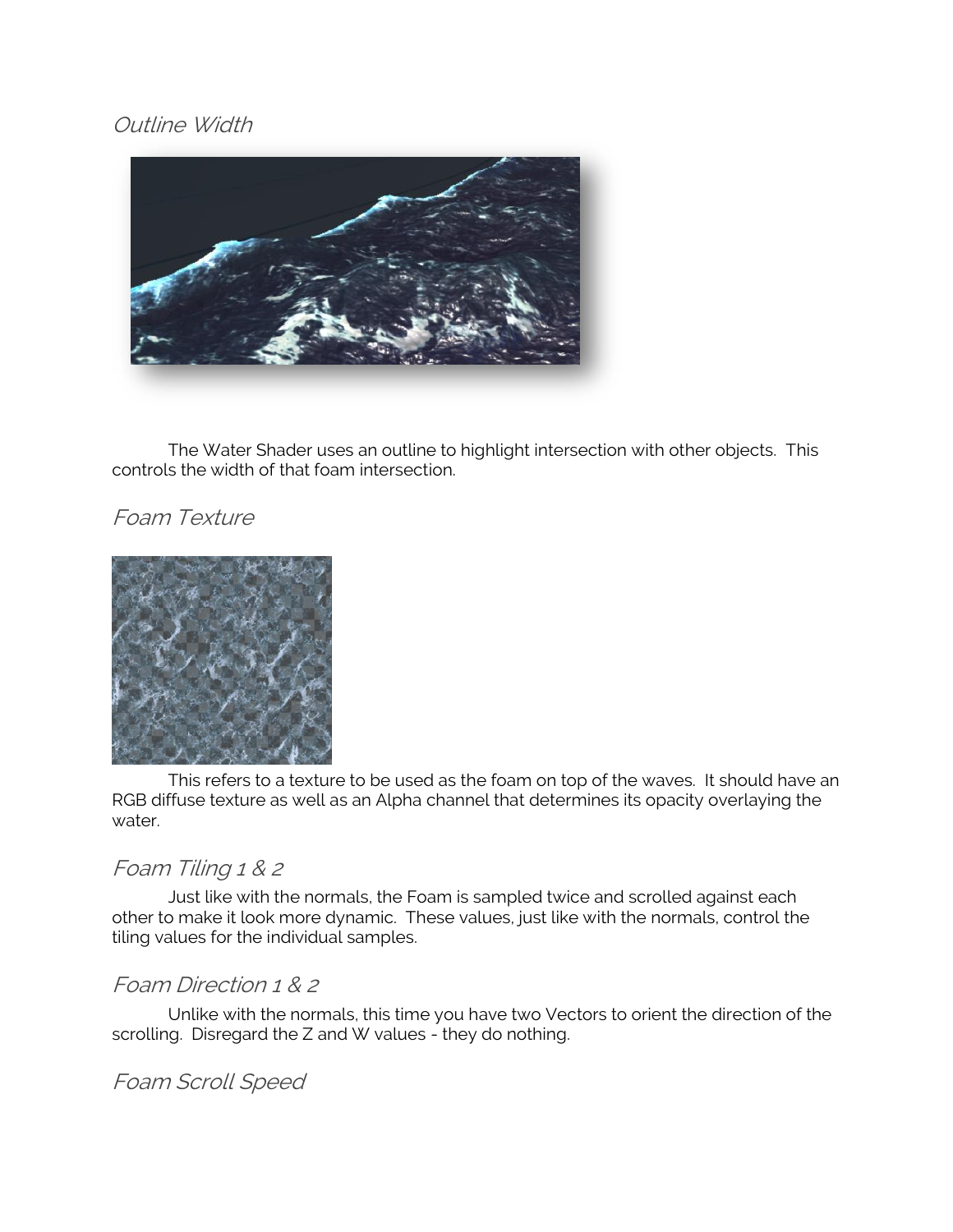## Outline Width



The Water Shader uses an outline to highlight intersection with other objects. This controls the width of that foam intersection.

## Foam Texture



This refers to a texture to be used as the foam on top of the waves. It should have an RGB diffuse texture as well as an Alpha channel that determines its opacity overlaying the water.

## Foam Tiling 1 & 2

Just like with the normals, the Foam is sampled twice and scrolled against each other to make it look more dynamic. These values, just like with the normals, control the tiling values for the individual samples.

## Foam Direction 1 & 2

Unlike with the normals, this time you have two Vectors to orient the direction of the scrolling. Disregard the Z and W values - they do nothing.

## Foam Scroll Speed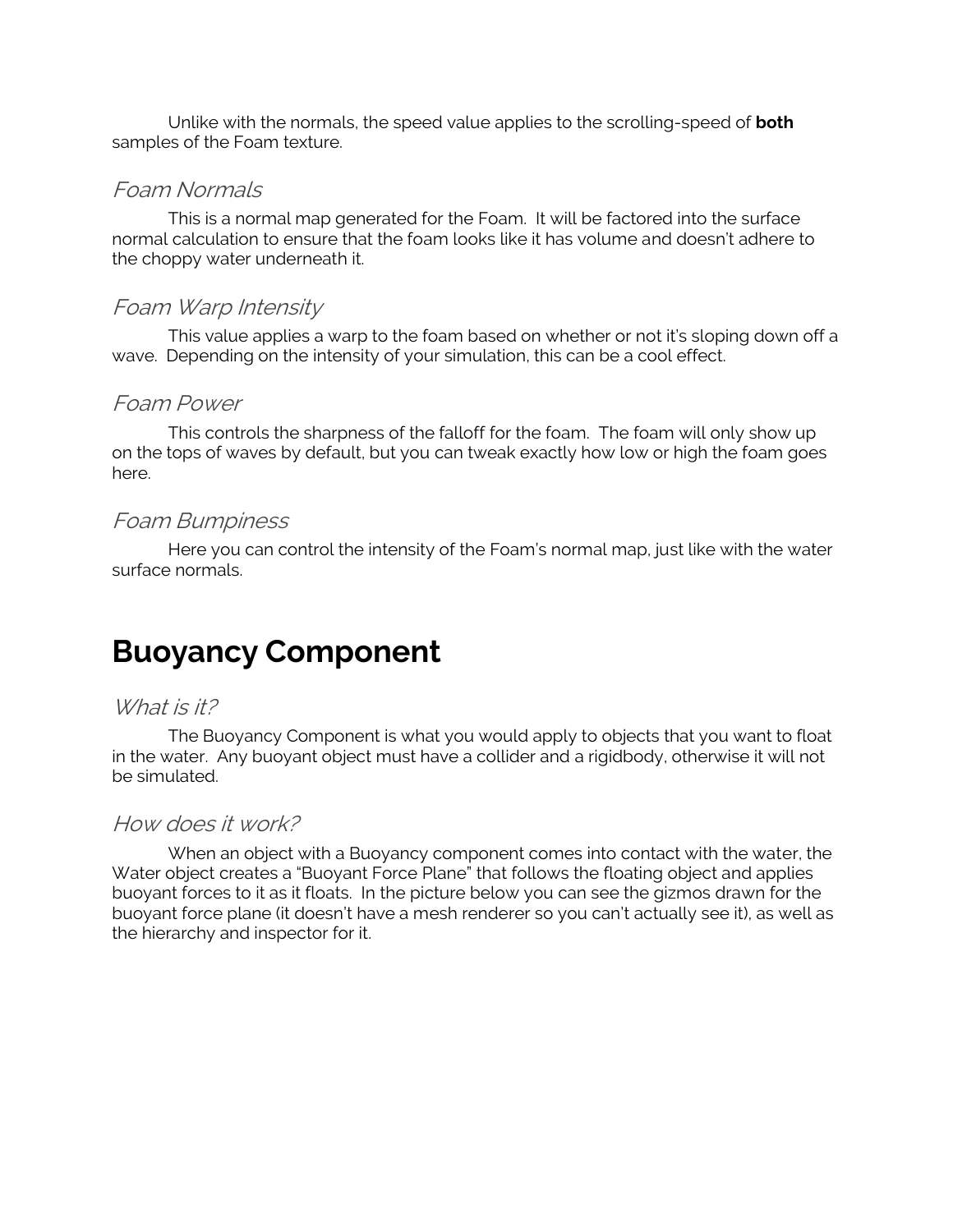Unlike with the normals, the speed value applies to the scrolling-speed of **both**  samples of the Foam texture.

### Foam Normals

This is a normal map generated for the Foam. It will be factored into the surface normal calculation to ensure that the foam looks like it has volume and doesn't adhere to the choppy water underneath it.

#### Foam Warp Intensity

This value applies a warp to the foam based on whether or not it's sloping down off a wave. Depending on the intensity of your simulation, this can be a cool effect.

#### Foam Power

This controls the sharpness of the falloff for the foam. The foam will only show up on the tops of waves by default, but you can tweak exactly how low or high the foam goes here.

#### Foam Bumpiness

Here you can control the intensity of the Foam's normal map, just like with the water surface normals.

## **Buoyancy Component**

#### What is it?

The Buoyancy Component is what you would apply to objects that you want to float in the water. Any buoyant object must have a collider and a rigidbody, otherwise it will not be simulated.

#### How does it work?

When an object with a Buoyancy component comes into contact with the water, the Water object creates a "Buoyant Force Plane" that follows the floating object and applies buoyant forces to it as it floats. In the picture below you can see the gizmos drawn for the buoyant force plane (it doesn't have a mesh renderer so you can't actually see it), as well as the hierarchy and inspector for it.